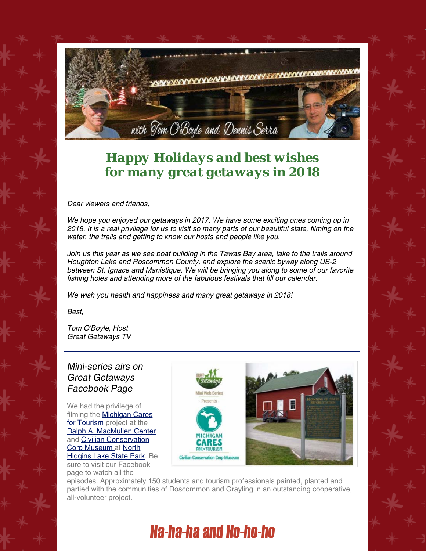

## *Happy Holidays and best wishes for many great getaways in 2018*

Dear viewers and friends,

We hope you enjoyed our getaways in 2017. We have some exciting ones coming up in 2018. It is a real privilege for us to visit so many parts of our beautiful state, filming on the water, the trails and getting to know our hosts and people like you.

Join us this year as we see boat building in the Tawas Bay area, take to the trails around Houghton Lake and Roscommon County, and explore the scenic byway along US-2 between St. Ignace and Manistique. We will be bringing you along to some of our favorite fishing holes and attending more of the fabulous festivals that fill our calendar.

We wish you health and happiness and many great getaways in 2018!

Best,

Tom O'Boyle, Host Great Getaways TV

## Mini-series airs on Great Getaways [Facebook Page](http://r20.rs6.net/tn.jsp?f=001Gu0DUH2M_qYGYoKV7AMB-fs6nOOb5Wdk_QFWoBdKdMe8fxvlaMhaB57N1KFaPXO1MWseptaRY1UAxvJquEhmjM7qypwdZiLH_iDOZ8y6mVCMdl6JXoLaYzjB6GHAdeCkXtmPyMJcQOnIfQ9qVr9JXfzAAE9WkoZpPuVJGW3G6bU=&c=bJue-yTzfHMOst6a1-a6yG57VzEVWO798iquqP5caEuEsHD4m1tUiA==&ch=52ZJkfK7_hqA_uPI6qMIV-361MOzC_YBkc2hXlQ-e7LHx3Eeb1DZ3Q==)

We had the privilege of filming the **Michigan Cares** [for Tourism](http://r20.rs6.net/tn.jsp?f=001Gu0DUH2M_qYGYoKV7AMB-fs6nOOb5Wdk_QFWoBdKdMe8fxvlaMhaB1sHNJTDiNVWKvqAsriUHHlCTjeQg-Os15A5RXMjwmqvHqTcYPuN1bSe9Ff3R3kheZybNcf96CSEs-GYuQ1tRrx1kX1Pc9HZOoi_4wmK8foFqQDQrm8looSskI-UOtQbGA==&c=bJue-yTzfHMOst6a1-a6yG57VzEVWO798iquqP5caEuEsHD4m1tUiA==&ch=52ZJkfK7_hqA_uPI6qMIV-361MOzC_YBkc2hXlQ-e7LHx3Eeb1DZ3Q==) project at the [Ralph A. MacMullen Center](http://r20.rs6.net/tn.jsp?f=001Gu0DUH2M_qYGYoKV7AMB-fs6nOOb5Wdk_QFWoBdKdMe8fxvlaMhaB1sHNJTDiNVWsCZnTUqqBRjRV0h5Zu5SirvYUu-ucau2opMKy0h5P_IxINNRXMJSd_JQg-hJGaFp74geVbTJnUCTsUu01yw8OQoxyYz5LGXvI5VmAIb_5LEMC6xT-7IrqwP6DuGmqfx6teEVOj82deMqCfMUxHhMhg==&c=bJue-yTzfHMOst6a1-a6yG57VzEVWO798iquqP5caEuEsHD4m1tUiA==&ch=52ZJkfK7_hqA_uPI6qMIV-361MOzC_YBkc2hXlQ-e7LHx3Eeb1DZ3Q==) and [Civilian Conservation](http://r20.rs6.net/tn.jsp?f=001Gu0DUH2M_qYGYoKV7AMB-fs6nOOb5Wdk_QFWoBdKdMe8fxvlaMhaB1sHNJTDiNVWAzAi25jjWl2NxnUG5iHGCY7ddKhonSZeoV5t2VJ8qX_t6S7ej0AF40C4TKHQsCRFDUvwjevhp45Bxz35DYPhdLCapz6mzkaQFmVmIvuIoVSS-PUfZDIm9jPWeE4DyoukEqHW8a7Q1w8_RvLim7itjg==&c=bJue-yTzfHMOst6a1-a6yG57VzEVWO798iquqP5caEuEsHD4m1tUiA==&ch=52ZJkfK7_hqA_uPI6qMIV-361MOzC_YBkc2hXlQ-e7LHx3Eeb1DZ3Q==) [Corp Museum](http://r20.rs6.net/tn.jsp?f=001Gu0DUH2M_qYGYoKV7AMB-fs6nOOb5Wdk_QFWoBdKdMe8fxvlaMhaB1sHNJTDiNVWAzAi25jjWl2NxnUG5iHGCY7ddKhonSZeoV5t2VJ8qX_t6S7ej0AF40C4TKHQsCRFDUvwjevhp45Bxz35DYPhdLCapz6mzkaQFmVmIvuIoVSS-PUfZDIm9jPWeE4DyoukEqHW8a7Q1w8_RvLim7itjg==&c=bJue-yTzfHMOst6a1-a6yG57VzEVWO798iquqP5caEuEsHD4m1tUiA==&ch=52ZJkfK7_hqA_uPI6qMIV-361MOzC_YBkc2hXlQ-e7LHx3Eeb1DZ3Q==) at [North](http://r20.rs6.net/tn.jsp?f=001Gu0DUH2M_qYGYoKV7AMB-fs6nOOb5Wdk_QFWoBdKdMe8fxvlaMhaB1sHNJTDiNVWuEWzjvrQEvsLr2b2sDHC4uqMT8m4OkHXlC9ZUr_dFYUTw-Ef0cQD1ezY4Sjgd4Se7cxUlowoKuuKiuDosG8uKsL7Z5ZvZTkOxizL9GvD-3M9atRnrfE_K5w7kG2XMmvaUCgodbVBAdRi3UjOzy7PEw==&c=bJue-yTzfHMOst6a1-a6yG57VzEVWO798iquqP5caEuEsHD4m1tUiA==&ch=52ZJkfK7_hqA_uPI6qMIV-361MOzC_YBkc2hXlQ-e7LHx3Eeb1DZ3Q==) **[Higgins Lake State Park](http://r20.rs6.net/tn.jsp?f=001Gu0DUH2M_qYGYoKV7AMB-fs6nOOb5Wdk_QFWoBdKdMe8fxvlaMhaB1sHNJTDiNVWuEWzjvrQEvsLr2b2sDHC4uqMT8m4OkHXlC9ZUr_dFYUTw-Ef0cQD1ezY4Sjgd4Se7cxUlowoKuuKiuDosG8uKsL7Z5ZvZTkOxizL9GvD-3M9atRnrfE_K5w7kG2XMmvaUCgodbVBAdRi3UjOzy7PEw==&c=bJue-yTzfHMOst6a1-a6yG57VzEVWO798iquqP5caEuEsHD4m1tUiA==&ch=52ZJkfK7_hqA_uPI6qMIV-361MOzC_YBkc2hXlQ-e7LHx3Eeb1DZ3Q==). Be** sure to visit our Facebook page to watch all the



episodes. Approximately 150 students and tourism professionals painted, planted and partied with the communities of Roscommon and Grayling in an outstanding cooperative, all-volunteer project.

## Ha-ha-ha and Ho-ho-ho